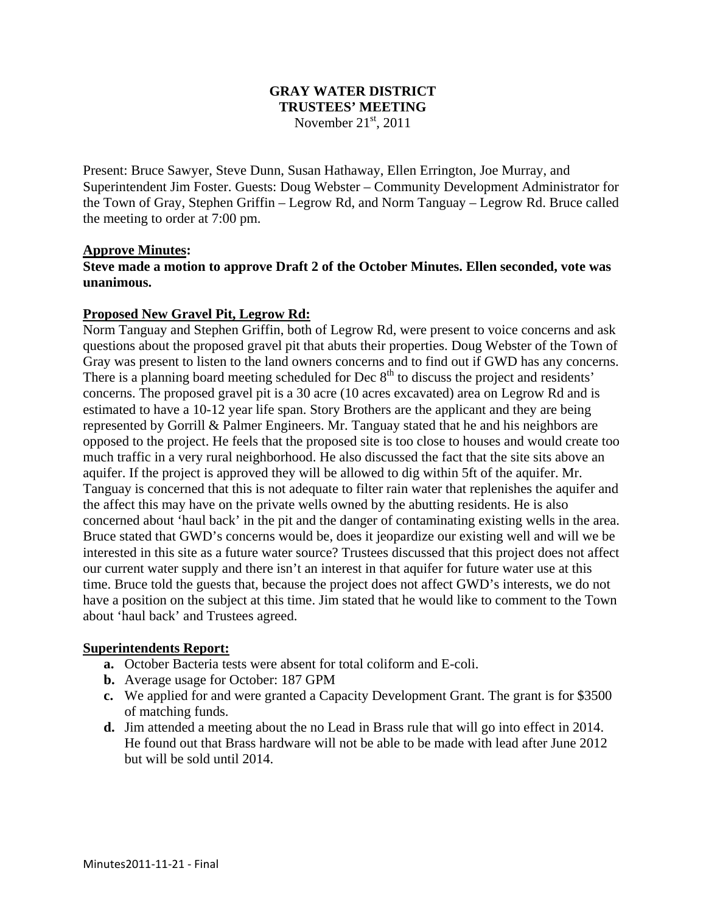## **GRAY WATER DISTRICT TRUSTEES' MEETING**  November  $21<sup>st</sup>$ , 2011

Present: Bruce Sawyer, Steve Dunn, Susan Hathaway, Ellen Errington, Joe Murray, and Superintendent Jim Foster. Guests: Doug Webster – Community Development Administrator for the Town of Gray, Stephen Griffin – Legrow Rd, and Norm Tanguay – Legrow Rd. Bruce called the meeting to order at 7:00 pm.

#### **Approve Minutes:**

## **Steve made a motion to approve Draft 2 of the October Minutes. Ellen seconded, vote was unanimous.**

## **Proposed New Gravel Pit, Legrow Rd:**

Norm Tanguay and Stephen Griffin, both of Legrow Rd, were present to voice concerns and ask questions about the proposed gravel pit that abuts their properties. Doug Webster of the Town of Gray was present to listen to the land owners concerns and to find out if GWD has any concerns. There is a planning board meeting scheduled for Dec  $8<sup>th</sup>$  to discuss the project and residents' concerns. The proposed gravel pit is a 30 acre (10 acres excavated) area on Legrow Rd and is estimated to have a 10-12 year life span. Story Brothers are the applicant and they are being represented by Gorrill & Palmer Engineers. Mr. Tanguay stated that he and his neighbors are opposed to the project. He feels that the proposed site is too close to houses and would create too much traffic in a very rural neighborhood. He also discussed the fact that the site sits above an aquifer. If the project is approved they will be allowed to dig within 5ft of the aquifer. Mr. Tanguay is concerned that this is not adequate to filter rain water that replenishes the aquifer and the affect this may have on the private wells owned by the abutting residents. He is also concerned about 'haul back' in the pit and the danger of contaminating existing wells in the area. Bruce stated that GWD's concerns would be, does it jeopardize our existing well and will we be interested in this site as a future water source? Trustees discussed that this project does not affect our current water supply and there isn't an interest in that aquifer for future water use at this time. Bruce told the guests that, because the project does not affect GWD's interests, we do not have a position on the subject at this time. Jim stated that he would like to comment to the Town about 'haul back' and Trustees agreed.

#### **Superintendents Report:**

- **a.** October Bacteria tests were absent for total coliform and E-coli.
- **b.** Average usage for October: 187 GPM
- **c.** We applied for and were granted a Capacity Development Grant. The grant is for \$3500 of matching funds.
- **d.** Jim attended a meeting about the no Lead in Brass rule that will go into effect in 2014. He found out that Brass hardware will not be able to be made with lead after June 2012 but will be sold until 2014.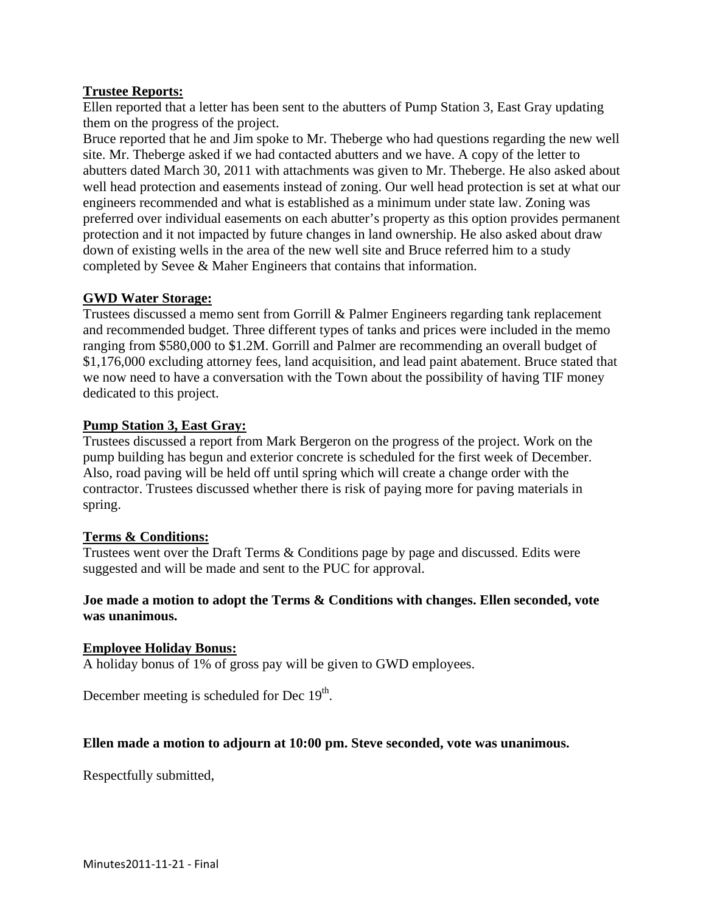# **Trustee Reports:**

Ellen reported that a letter has been sent to the abutters of Pump Station 3, East Gray updating them on the progress of the project.

Bruce reported that he and Jim spoke to Mr. Theberge who had questions regarding the new well site. Mr. Theberge asked if we had contacted abutters and we have. A copy of the letter to abutters dated March 30, 2011 with attachments was given to Mr. Theberge. He also asked about well head protection and easements instead of zoning. Our well head protection is set at what our engineers recommended and what is established as a minimum under state law. Zoning was preferred over individual easements on each abutter's property as this option provides permanent protection and it not impacted by future changes in land ownership. He also asked about draw down of existing wells in the area of the new well site and Bruce referred him to a study completed by Sevee & Maher Engineers that contains that information.

## **GWD Water Storage:**

Trustees discussed a memo sent from Gorrill & Palmer Engineers regarding tank replacement and recommended budget. Three different types of tanks and prices were included in the memo ranging from \$580,000 to \$1.2M. Gorrill and Palmer are recommending an overall budget of \$1,176,000 excluding attorney fees, land acquisition, and lead paint abatement. Bruce stated that we now need to have a conversation with the Town about the possibility of having TIF money dedicated to this project.

## **Pump Station 3, East Gray:**

Trustees discussed a report from Mark Bergeron on the progress of the project. Work on the pump building has begun and exterior concrete is scheduled for the first week of December. Also, road paving will be held off until spring which will create a change order with the contractor. Trustees discussed whether there is risk of paying more for paving materials in spring.

## **Terms & Conditions:**

Trustees went over the Draft Terms & Conditions page by page and discussed. Edits were suggested and will be made and sent to the PUC for approval.

## **Joe made a motion to adopt the Terms & Conditions with changes. Ellen seconded, vote was unanimous.**

## **Employee Holiday Bonus:**

A holiday bonus of 1% of gross pay will be given to GWD employees.

December meeting is scheduled for Dec  $19<sup>th</sup>$ .

## **Ellen made a motion to adjourn at 10:00 pm. Steve seconded, vote was unanimous.**

Respectfully submitted,